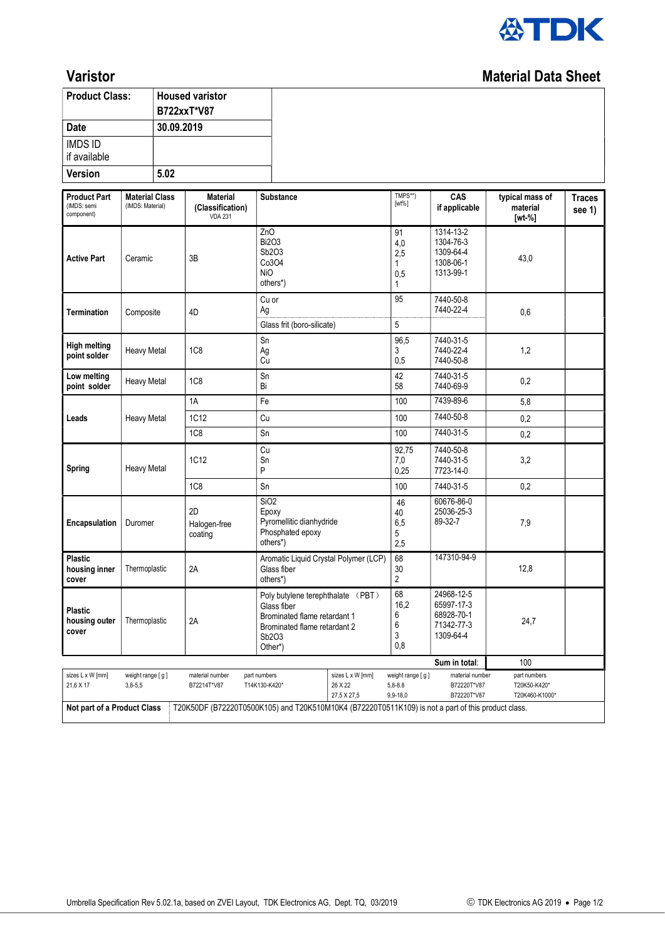

## **Varistor** Material Data Sheet

| <b>Product Class:</b>                                                                                                             |                                           | <b>Housed varistor</b><br>B722xxT*V87 |                                                |                                                                                       |                                                                                                   |                                             |                                                                   |                                                |                         |
|-----------------------------------------------------------------------------------------------------------------------------------|-------------------------------------------|---------------------------------------|------------------------------------------------|---------------------------------------------------------------------------------------|---------------------------------------------------------------------------------------------------|---------------------------------------------|-------------------------------------------------------------------|------------------------------------------------|-------------------------|
| 30.09.2019<br><b>Date</b>                                                                                                         |                                           |                                       |                                                |                                                                                       |                                                                                                   |                                             |                                                                   |                                                |                         |
| <b>IMDS ID</b><br>if available                                                                                                    |                                           |                                       |                                                |                                                                                       |                                                                                                   |                                             |                                                                   |                                                |                         |
| <b>Version</b>                                                                                                                    |                                           | 5.02                                  |                                                |                                                                                       |                                                                                                   |                                             |                                                                   |                                                |                         |
| <b>Product Part</b><br>(IMDS: semi<br>component)                                                                                  | <b>Material Class</b><br>(IMDS: Material) |                                       | Material<br>(Classification)<br><b>VDA 231</b> | <b>Substance</b>                                                                      |                                                                                                   | TMPS**)<br>$[wt\%]$                         | CAS<br>if applicable                                              | typical mass of<br>material<br>[wt-%]          | <b>Traces</b><br>see 1) |
| <b>Active Part</b>                                                                                                                | Ceramic                                   |                                       | 3B                                             | ZnO<br><b>Bi2O3</b><br>Sb2O3<br>Co3O4<br><b>NiO</b><br>others*)                       |                                                                                                   | 91<br>4,0<br>2,5<br>1<br>0,5<br>1           | 1314-13-2<br>1304-76-3<br>1309-64-4<br>1308-06-1<br>1313-99-1     | 43,0                                           |                         |
| <b>Termination</b>                                                                                                                | Composite                                 |                                       | 4D                                             | Cu or<br>Ag<br>Glass frit (boro-silicate)                                             |                                                                                                   | 95<br>$\mathbf 5$                           | 7440-50-8<br>7440-22-4                                            | 0,6                                            |                         |
| <b>High melting</b><br>point solder                                                                                               | <b>Heavy Metal</b>                        |                                       | 1C <sub>8</sub>                                | Sn<br>Ag<br>Cu                                                                        |                                                                                                   | 96,5<br>3<br>0,5                            | 7440-31-5<br>7440-22-4<br>7440-50-8                               | 1,2                                            |                         |
| Low melting<br>point solder                                                                                                       | <b>Heavy Metal</b>                        |                                       | 1C <sub>8</sub>                                | Sn<br>Bi                                                                              |                                                                                                   |                                             | 7440-31-5<br>7440-69-9                                            | 0,2                                            |                         |
|                                                                                                                                   | <b>Heavy Metal</b>                        |                                       | 1A                                             | Fe                                                                                    |                                                                                                   | 100                                         | 7439-89-6                                                         | 5,8                                            |                         |
| Leads                                                                                                                             |                                           |                                       | 1C12                                           | Cu                                                                                    |                                                                                                   | 100                                         | 7440-50-8                                                         | 0,2                                            |                         |
|                                                                                                                                   |                                           |                                       | <b>1C8</b>                                     | Sn                                                                                    |                                                                                                   |                                             | 7440-31-5                                                         | 0,2                                            |                         |
| <b>Spring</b>                                                                                                                     | <b>Heavy Metal</b>                        |                                       | 1C12                                           | Cu<br>Sn<br>P                                                                         |                                                                                                   | 92,75<br>7,0<br>0,25                        | 7440-50-8<br>7440-31-5<br>7723-14-0                               | 3,2                                            |                         |
|                                                                                                                                   |                                           |                                       | 1C <sub>8</sub>                                | Sn                                                                                    |                                                                                                   |                                             | 7440-31-5                                                         | 0,2                                            |                         |
| Encapsulation                                                                                                                     | Duromer                                   |                                       | 2D<br>Halogen-free<br>coating                  | SiO <sub>2</sub><br>Epoxy<br>Pyromellitic dianhydride<br>Phosphated epoxy<br>others*) |                                                                                                   |                                             | 60676-86-0<br>25036-25-3<br>89-32-7                               | 7,9                                            |                         |
| <b>Plastic</b><br>housing inner<br>cover                                                                                          | Thermoplastic                             |                                       | 2A                                             | Aromatic Liquid Crystal Polymer (LCP)<br>Glass fiber<br>others*)                      |                                                                                                   | 68<br>30<br>$\overline{\mathbf{c}}$         | 147310-94-9                                                       | 12,8                                           |                         |
| <b>Plastic</b><br>housing outer<br>cover                                                                                          | Thermoplastic                             |                                       | 2A                                             | Glass fiber<br>Sb2O3<br>Other*)                                                       | Poly butylene terephthalate (PBT)<br>Brominated flame retardant 1<br>Brominated flame retardant 2 |                                             | 24968-12-5<br>65997-17-3<br>68928-70-1<br>71342-77-3<br>1309-64-4 | 24,7                                           |                         |
|                                                                                                                                   |                                           |                                       |                                                |                                                                                       | Sum in total:                                                                                     | 100                                         |                                                                   |                                                |                         |
| sizes L x W [mm]<br>21,6 X 17                                                                                                     | weight range [g]<br>$3,8-5,5$             |                                       | material number<br>B72214T*V87                 | part numbers<br>T14K130-K420*                                                         | sizes L x W [mm]<br>26 X 22<br>27,5 X 27,5                                                        | weight range [g]<br>$5,8 - 8.8$<br>9,9-18,0 | material number<br>B72220T*V87<br>B72220T*V87                     | part numbers<br>T20K50-K420*<br>T20K460-K1000* |                         |
| Not part of a Product Class<br>T20K50DF (B72220T0500K105) and T20K510M10K4 (B72220T0511K109) is not a part of this product class. |                                           |                                       |                                                |                                                                                       |                                                                                                   |                                             |                                                                   |                                                |                         |